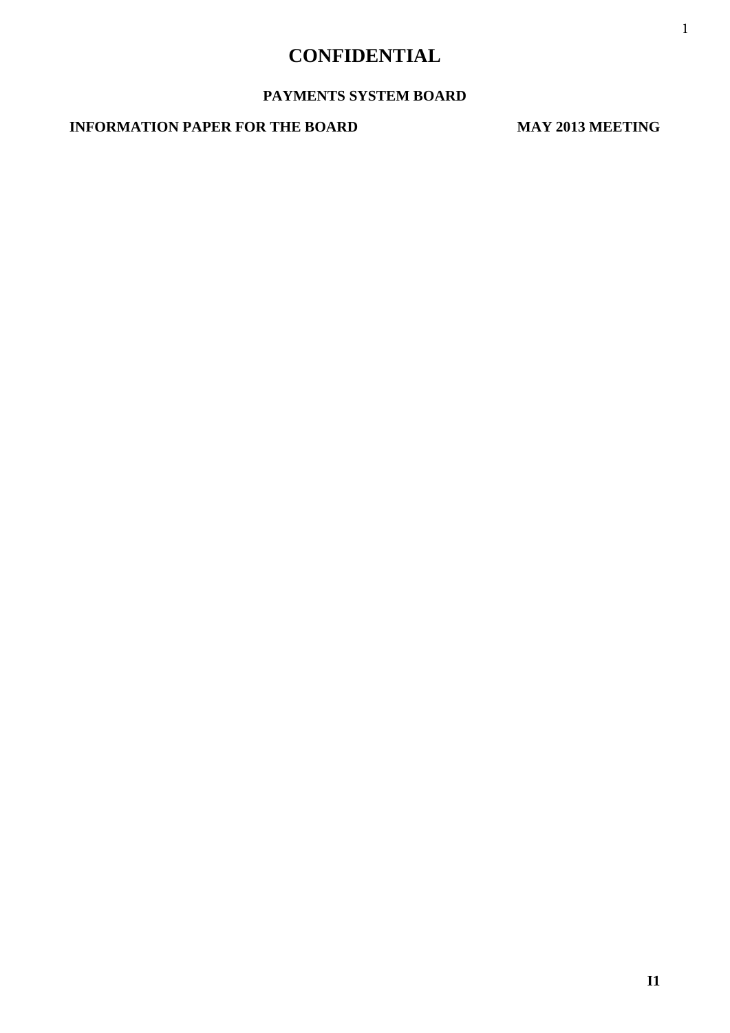# **CONFIDENTIAL**

## **PAYMENTS SYSTEM BOARD**

## **INFORMATION PAPER FOR THE BOARD MAY 2013 MEETING**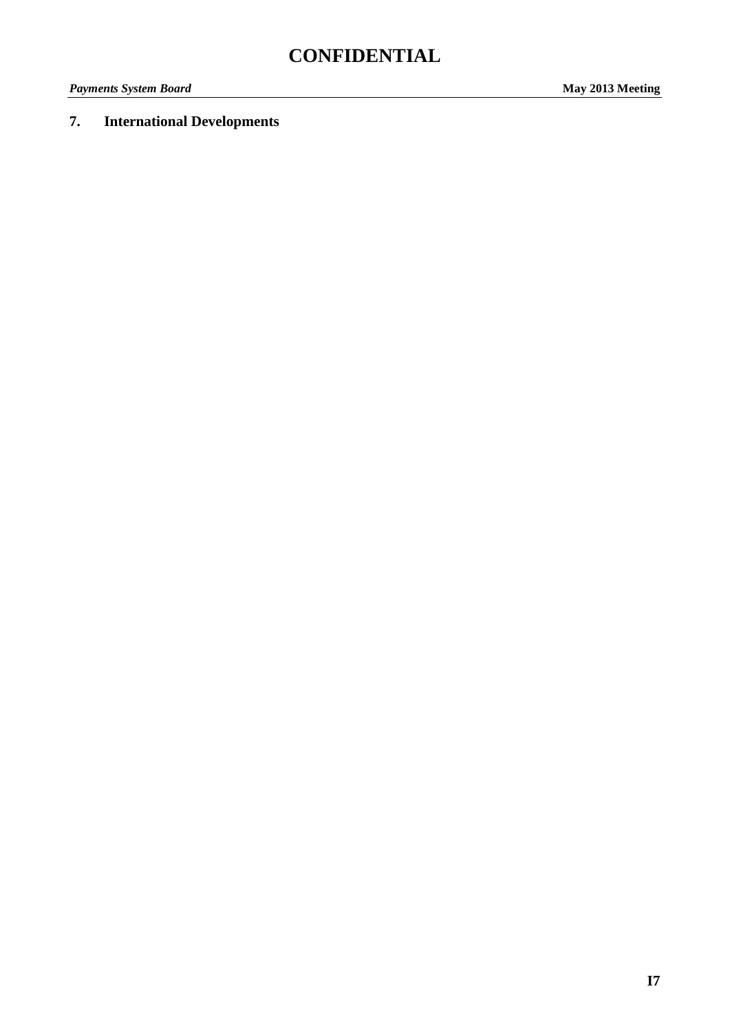# **7. International Developments**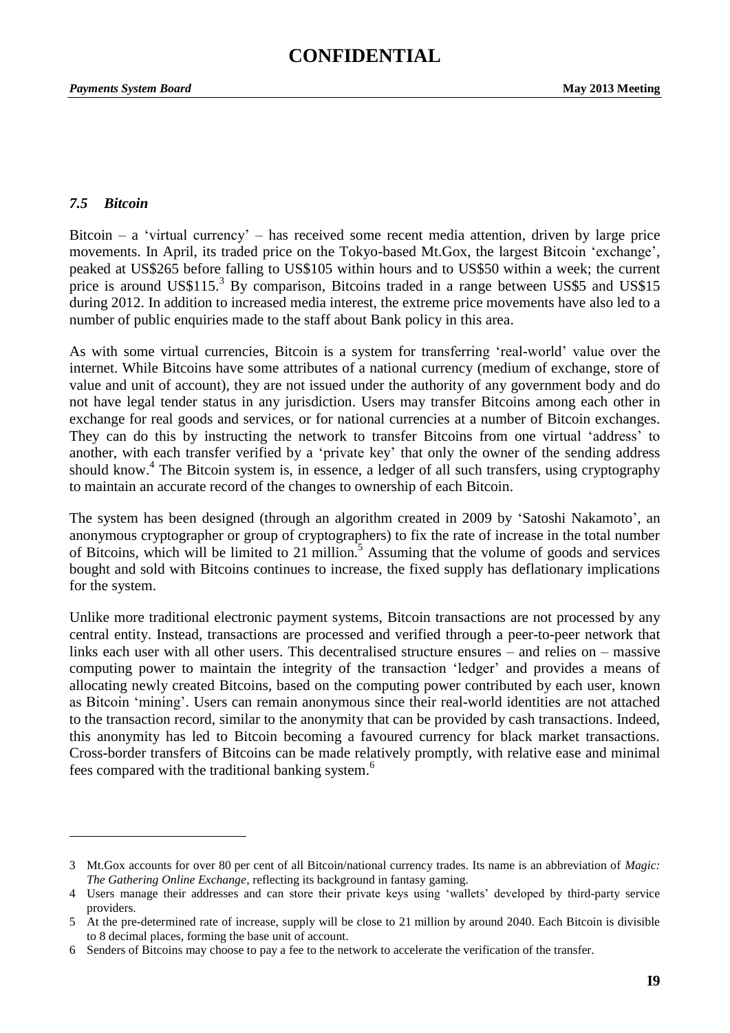#### *7.5 Bitcoin*

Bitcoin – a 'virtual currency' – has received some recent media attention, driven by large price movements. In April, its traded price on the Tokyo-based Mt.Gox, the largest Bitcoin 'exchange', peaked at US\$265 before falling to US\$105 within hours and to US\$50 within a week; the current price is around US\$115.<sup>3</sup> By comparison, Bitcoins traded in a range between US\$5 and US\$15 during 2012. In addition to increased media interest, the extreme price movements have also led to a number of public enquiries made to the staff about Bank policy in this area.

As with some virtual currencies, Bitcoin is a system for transferring 'real-world' value over the internet. While Bitcoins have some attributes of a national currency (medium of exchange, store of value and unit of account), they are not issued under the authority of any government body and do not have legal tender status in any jurisdiction. Users may transfer Bitcoins among each other in exchange for real goods and services, or for national currencies at a number of Bitcoin exchanges. They can do this by instructing the network to transfer Bitcoins from one virtual 'address' to another, with each transfer verified by a 'private key' that only the owner of the sending address should know.<sup>4</sup> The Bitcoin system is, in essence, a ledger of all such transfers, using cryptography to maintain an accurate record of the changes to ownership of each Bitcoin.

The system has been designed (through an algorithm created in 2009 by 'Satoshi Nakamoto', an anonymous cryptographer or group of cryptographers) to fix the rate of increase in the total number of Bitcoins, which will be limited to 21 million.<sup>5</sup> Assuming that the volume of goods and services bought and sold with Bitcoins continues to increase, the fixed supply has deflationary implications for the system.

Unlike more traditional electronic payment systems, Bitcoin transactions are not processed by any central entity. Instead, transactions are processed and verified through a peer-to-peer network that links each user with all other users. This decentralised structure ensures – and relies on – massive computing power to maintain the integrity of the transaction 'ledger' and provides a means of allocating newly created Bitcoins, based on the computing power contributed by each user, known as Bitcoin 'mining'. Users can remain anonymous since their real-world identities are not attached to the transaction record, similar to the anonymity that can be provided by cash transactions. Indeed, this anonymity has led to Bitcoin becoming a favoured currency for black market transactions. Cross-border transfers of Bitcoins can be made relatively promptly, with relative ease and minimal fees compared with the traditional banking system.<sup>6</sup>

<sup>3</sup> Mt.Gox accounts for over 80 per cent of all Bitcoin/national currency trades. Its name is an abbreviation of *Magic: The Gathering Online Exchange*, reflecting its background in fantasy gaming.

<sup>4</sup> Users manage their addresses and can store their private keys using 'wallets' developed by third-party service providers.

<sup>5</sup> At the pre-determined rate of increase, supply will be close to 21 million by around 2040. Each Bitcoin is divisible to 8 decimal places, forming the base unit of account.

<sup>6</sup> Senders of Bitcoins may choose to pay a fee to the network to accelerate the verification of the transfer.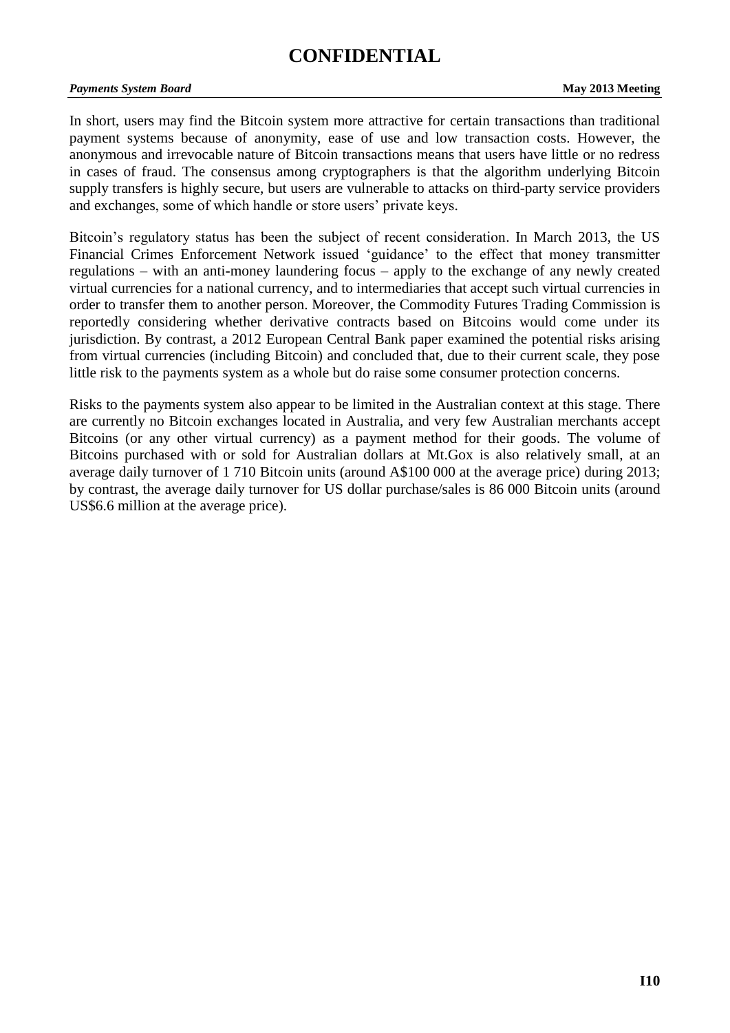# **CONFIDENTIAL**

#### *Payments System Board* **May 2013 Meeting**

In short, users may find the Bitcoin system more attractive for certain transactions than traditional payment systems because of anonymity, ease of use and low transaction costs. However, the anonymous and irrevocable nature of Bitcoin transactions means that users have little or no redress in cases of fraud. The consensus among cryptographers is that the algorithm underlying Bitcoin supply transfers is highly secure, but users are vulnerable to attacks on third-party service providers and exchanges, some of which handle or store users' private keys.

Bitcoin's regulatory status has been the subject of recent consideration. In March 2013, the US Financial Crimes Enforcement Network issued 'guidance' to the effect that money transmitter regulations – with an anti-money laundering focus – apply to the exchange of any newly created virtual currencies for a national currency, and to intermediaries that accept such virtual currencies in order to transfer them to another person. Moreover, the Commodity Futures Trading Commission is reportedly considering whether derivative contracts based on Bitcoins would come under its jurisdiction. By contrast, a 2012 European Central Bank paper examined the potential risks arising from virtual currencies (including Bitcoin) and concluded that, due to their current scale, they pose little risk to the payments system as a whole but do raise some consumer protection concerns.

Risks to the payments system also appear to be limited in the Australian context at this stage. There are currently no Bitcoin exchanges located in Australia, and very few Australian merchants accept Bitcoins (or any other virtual currency) as a payment method for their goods. The volume of Bitcoins purchased with or sold for Australian dollars at Mt.Gox is also relatively small, at an average daily turnover of 1 710 Bitcoin units (around A\$100 000 at the average price) during 2013; by contrast, the average daily turnover for US dollar purchase/sales is 86 000 Bitcoin units (around US\$6.6 million at the average price).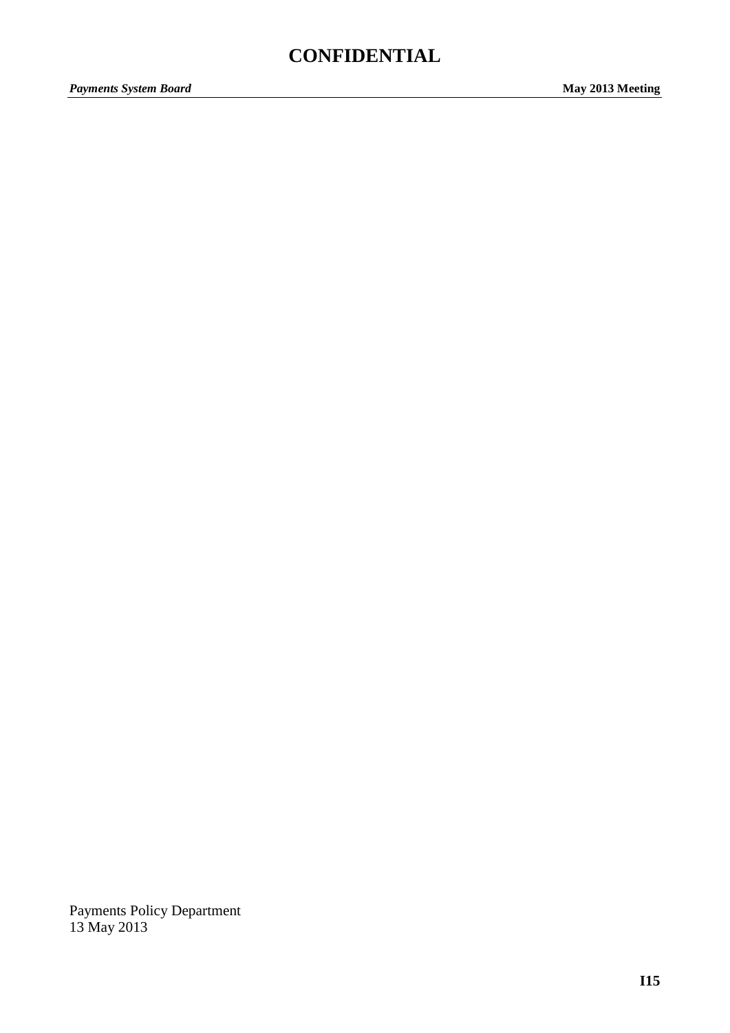# **CONFIDENTIAL**

Payments Policy Department 13 May 2013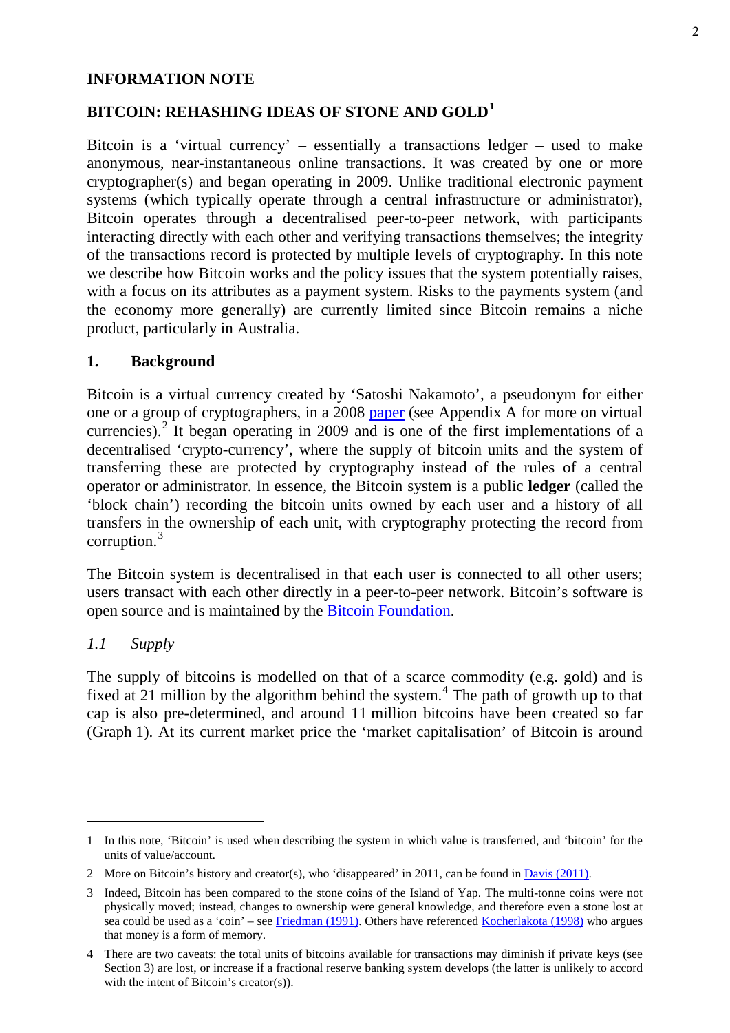#### **INFORMATION NOTE**

## **BITCOIN: REHASHING IDEAS OF STONE AND GOLD[1](#page-5-0)**

Bitcoin is a 'virtual currency' – essentially a transactions ledger – used to make anonymous, near-instantaneous online transactions. It was created by one or more cryptographer(s) and began operating in 2009. Unlike traditional electronic payment systems (which typically operate through a central infrastructure or administrator), Bitcoin operates through a decentralised peer-to-peer network, with participants interacting directly with each other and verifying transactions themselves; the integrity of the transactions record is protected by multiple levels of cryptography. In this note we describe how Bitcoin works and the policy issues that the system potentially raises, with a focus on its attributes as a payment system. Risks to the payments system (and the economy more generally) are currently limited since Bitcoin remains a niche product, particularly in Australia.

#### **1. Background**

Bitcoin is a virtual currency created by 'Satoshi Nakamoto', a pseudonym for either one or a group of cryptographers, in a 2008 [paper](http://bitcoin.org/bitcoin.pdf) (see Appendix A for more on virtual currencies). $2$  It began operating in 2009 and is one of the first implementations of a decentralised 'crypto-currency', where the supply of bitcoin units and the system of transferring these are protected by cryptography instead of the rules of a central operator or administrator. In essence, the Bitcoin system is a public **ledger** (called the 'block chain') recording the bitcoin units owned by each user and a history of all transfers in the ownership of each unit, with cryptography protecting the record from corruption.[3](#page-5-2)

The Bitcoin system is decentralised in that each user is connected to all other users; users transact with each other directly in a peer-to-peer network. Bitcoin's software is open source and is maintained by the [Bitcoin Foundation.](https://bitcoinfoundation.org/)

#### *1.1 Supply*

The supply of bitcoins is modelled on that of a scarce commodity (e.g. gold) and is fixed at 21 million by the algorithm behind the system.<sup>[4](#page-5-3)</sup> The path of growth up to that cap is also pre-determined, and around 11 million bitcoins have been created so far (Graph 1). At its current market price the 'market capitalisation' of Bitcoin is around

<span id="page-5-0"></span><sup>1</sup> In this note, 'Bitcoin' is used when describing the system in which value is transferred, and 'bitcoin' for the units of value/account.

<span id="page-5-1"></span><sup>2</sup> More on Bitcoin's history and creator(s), who 'disappeared' in 2011, can be found in Davis (2011).

<span id="page-5-2"></span><sup>3</sup> Indeed, Bitcoin has been compared to the stone coins of the Island of Yap. The multi-tonne coins were not physically moved; instead, changes to ownership were general knowledge, and therefore even a stone lost at sea could be used as a 'coin' – see [Friedman \(1991\).](https://www.google.com.au/url?sa=t&rct=j&q=&esrc=s&source=web&cd=1&ved=0CDUQFjAA&url=http%3A%2F%2Fhoohila.stanford.edu%2Fworkingpapers%2FgetWorkingPaper.php%3Ffilename%3DE-91-3.pdf&ei=Cmx0UarYGa2yiQfUv4DABQ&usg=AFQjCNEv3N54LU0E_phXtYyCRh3Myl6BAA&sig2=yuxCj4al4dL3_KOiNehPnw&bvm=bv.45512109,d.aGc) Others have referenced [Kocherlakota \(1998\)](http://www.sciencedirect.com/science/article/pii/S0022053197923577) who argues that money is a form of memory.

<span id="page-5-3"></span><sup>4</sup> There are two caveats: the total units of bitcoins available for transactions may diminish if private keys (see Section 3) are lost, or increase if a fractional reserve banking system develops (the latter is unlikely to accord with the intent of Bitcoin's creator(s)).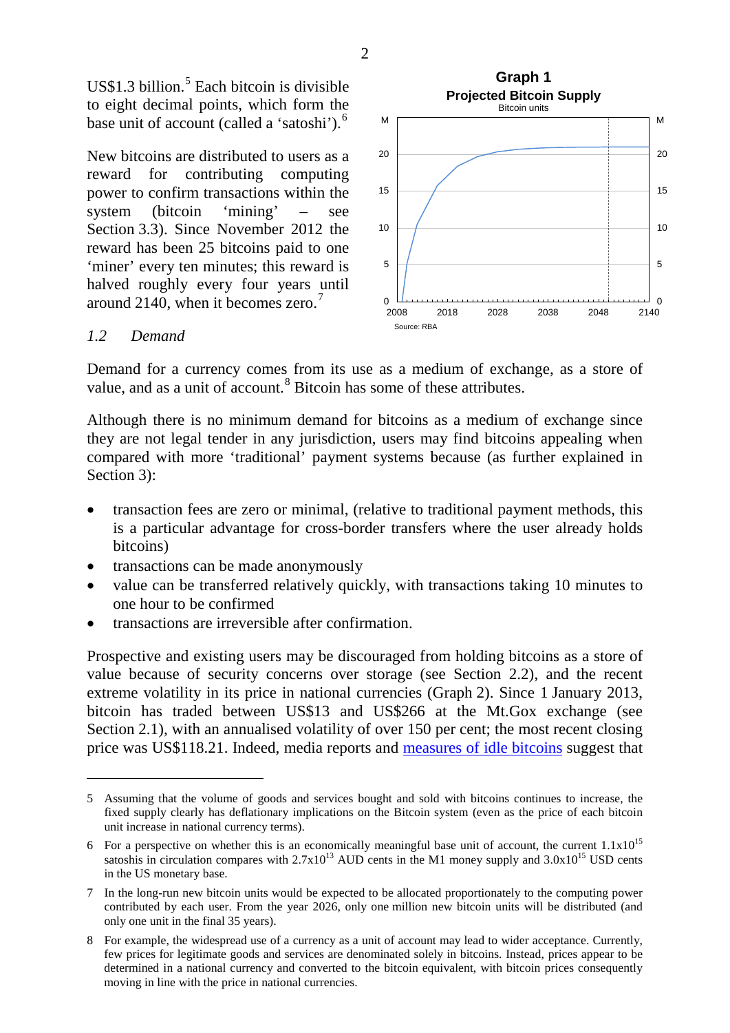$US$1.3 billion.<sup>5</sup>$  $US$1.3 billion.<sup>5</sup>$  $US$1.3 billion.<sup>5</sup>$  Each bitcoin is divisible to eight decimal points, which form the base unit of account (called a 'satoshi').<sup>[6](#page-6-1)</sup>

New bitcoins are distributed to users as a reward for contributing computing power to confirm transactions within the system (bitcoin 'mining' – see Section 3.3). Since November 2012 the reward has been 25 bitcoins paid to one 'miner' every ten minutes; this reward is halved roughly every four years until around 2140, when it becomes zero.<sup>[7](#page-6-2)</sup>



#### *1.2 Demand*

Demand for a currency comes from its use as a medium of exchange, as a store of value, and as a unit of account.<sup>[8](#page-6-3)</sup> Bitcoin has some of these attributes.

Although there is no minimum demand for bitcoins as a medium of exchange since they are not legal tender in any jurisdiction, users may find bitcoins appealing when compared with more 'traditional' payment systems because (as further explained in Section 3):

- transaction fees are zero or minimal, (relative to traditional payment methods, this is a particular advantage for cross-border transfers where the user already holds bitcoins)
- transactions can be made anonymously
- value can be transferred relatively quickly, with transactions taking 10 minutes to one hour to be confirmed
- transactions are irreversible after confirmation.

Prospective and existing users may be discouraged from holding bitcoins as a store of value because of security concerns over storage (see Section 2.2), and the recent extreme volatility in its price in national currencies (Graph 2). Since 1 January 2013, bitcoin has traded between US\$13 and US\$266 at the Mt.Gox exchange (see Section 2.1), with an annualised volatility of over 150 per cent; the most recent closing price was US\$118.21. Indeed, media reports and [measures of idle bitcoins](http://blockchain.info/charts/bitcoin-days-destroyed) suggest that

2

<span id="page-6-0"></span><sup>5</sup> Assuming that the volume of goods and services bought and sold with bitcoins continues to increase, the fixed supply clearly has deflationary implications on the Bitcoin system (even as the price of each bitcoin unit increase in national currency terms).

<span id="page-6-1"></span><sup>6</sup> For a perspective on whether this is an economically meaningful base unit of account, the current  $1.1x10^{15}$ satoshis in circulation compares with  $2.7x10^{13}$  AUD cents in the M1 money supply and  $3.0x10^{15}$  USD cents in the US monetary base.

<span id="page-6-2"></span><sup>7</sup> In the long-run new bitcoin units would be expected to be allocated proportionately to the computing power contributed by each user. From the year 2026, only one million new bitcoin units will be distributed (and only one unit in the final 35 years).

<span id="page-6-3"></span><sup>8</sup> For example, the widespread use of a currency as a unit of account may lead to wider acceptance. Currently, few prices for legitimate goods and services are denominated solely in bitcoins. Instead, prices appear to be determined in a national currency and converted to the bitcoin equivalent, with bitcoin prices consequently moving in line with the price in national currencies.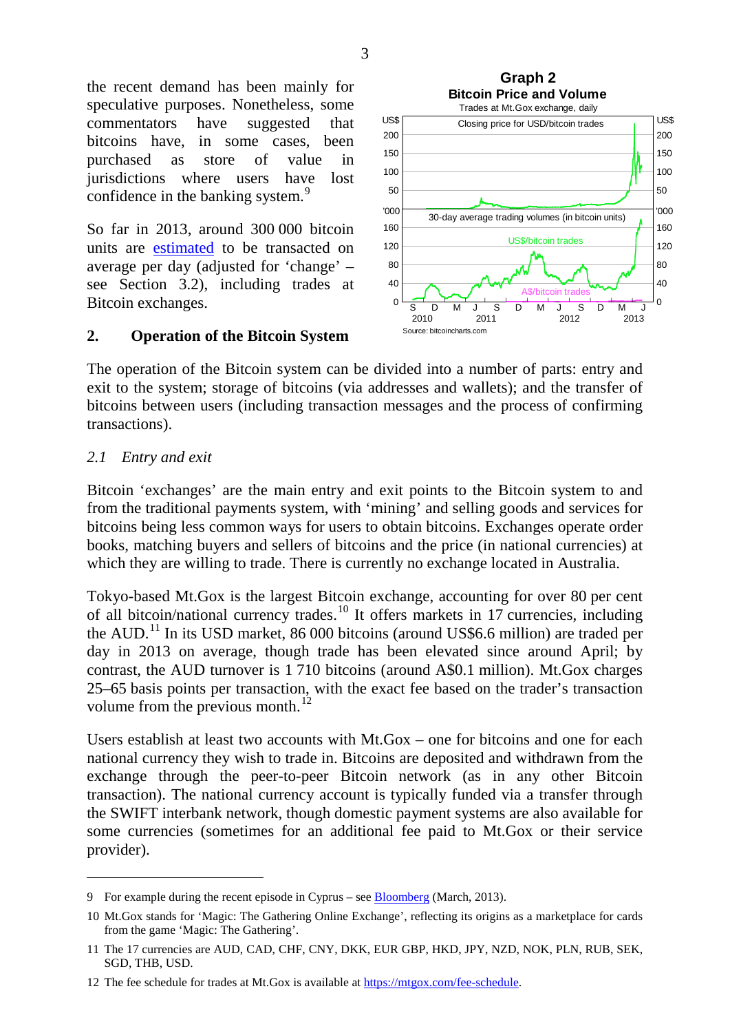the recent demand has been mainly for speculative purposes. Nonetheless, some commentators have suggested that bitcoins have, in some cases, been purchased as store of value in jurisdictions where users have lost confidence in the banking system.<sup>[9](#page-7-0)</sup>

So far in 2013, around 300 000 bitcoin units are [estimated](http://blockchain.info/charts/estimated-transaction-volume?showDataPoints=false×pan=&show_header=true&daysAverageString=7&scale=0&address=) to be transacted on average per day (adjusted for 'change' – see Section 3.2), including trades at Bitcoin exchanges.

#### **2. Operation of the Bitcoin System**



The operation of the Bitcoin system can be divided into a number of parts: entry and exit to the system; storage of bitcoins (via addresses and wallets); and the transfer of bitcoins between users (including transaction messages and the process of confirming transactions).

#### *2.1 Entry and exit*

Bitcoin 'exchanges' are the main entry and exit points to the Bitcoin system to and from the traditional payments system, with 'mining' and selling goods and services for bitcoins being less common ways for users to obtain bitcoins. Exchanges operate order books, matching buyers and sellers of bitcoins and the price (in national currencies) at which they are willing to trade. There is currently no exchange located in Australia.

Tokyo-based Mt.Gox is the largest Bitcoin exchange, accounting for over 80 per cent of all bitcoin/national currency trades.<sup>[10](#page-7-1)</sup> It offers markets in 17 currencies, including the AUD.[11](#page-7-2) In its USD market, 86 000 bitcoins (around US\$6.6 million) are traded per day in 2013 on average, though trade has been elevated since around April; by contrast, the AUD turnover is 1 710 bitcoins (around A\$0.1 million). Mt.Gox charges 25–65 basis points per transaction, with the exact fee based on the trader's transaction volume from the previous month.<sup>[12](#page-7-3)</sup>

Users establish at least two accounts with Mt.Gox – one for bitcoins and one for each national currency they wish to trade in. Bitcoins are deposited and withdrawn from the exchange through the peer-to-peer Bitcoin network (as in any other Bitcoin transaction). The national currency account is typically funded via a transfer through the SWIFT interbank network, though domestic payment systems are also available for some currencies (sometimes for an additional fee paid to Mt.Gox or their service provider).

<span id="page-7-0"></span><sup>9</sup> For example during the recent episode in Cyprus – see **Bloomberg** (March, 2013).

<span id="page-7-1"></span><sup>10</sup> Mt.Gox stands for 'Magic: The Gathering Online Exchange', reflecting its origins as a marketplace for cards from the game 'Magic: The Gathering'.

<span id="page-7-2"></span><sup>11</sup> The 17 currencies are AUD, CAD, CHF, CNY, DKK, EUR GBP, HKD, JPY, NZD, NOK, PLN, RUB, SEK, SGD, THB, USD.

<span id="page-7-3"></span><sup>12</sup> The fee schedule for trades at Mt.Gox is available at https://mtgox.com/fee-schedule.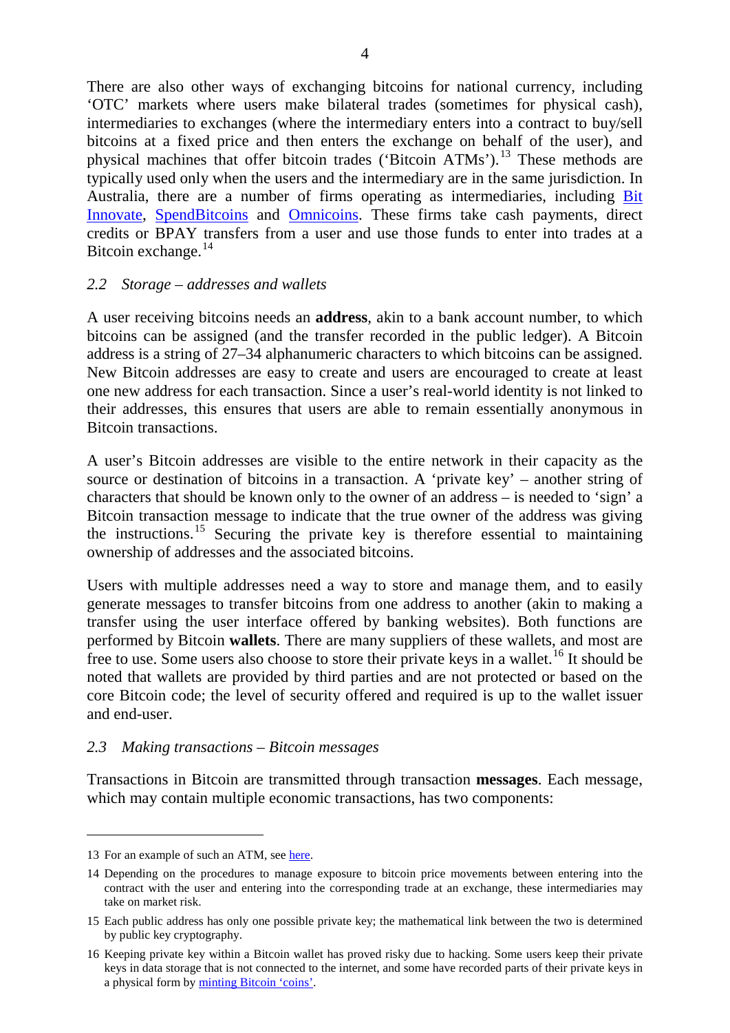There are also other ways of exchanging bitcoins for national currency, including 'OTC' markets where users make bilateral trades (sometimes for physical cash), intermediaries to exchanges (where the intermediary enters into a contract to buy/sell bitcoins at a fixed price and then enters the exchange on behalf of the user), and physical machines that offer bitcoin trades ('Bitcoin ATMs').<sup>13</sup> These methods are typically used only when the users and the intermediary are in the same jurisdiction. In Australia, there are a number of firms operating as intermediaries, including [Bit](https://www.bitinnovate.com/)  [Innovate,](https://www.bitinnovate.com/) [SpendBitcoins](https://www.spendbitcoins.com/buy/) and [Omnicoins.](https://www.omnicoins.com/) These firms take cash payments, direct credits or BPAY transfers from a user and use those funds to enter into trades at a Bitcoin exchange. $^{14}$ 

#### *2.2 Storage – addresses and wallets*

A user receiving bitcoins needs an **address**, akin to a bank account number, to which bitcoins can be assigned (and the transfer recorded in the public ledger). A Bitcoin address is a string of 27–34 alphanumeric characters to which bitcoins can be assigned. New Bitcoin addresses are easy to create and users are encouraged to create at least one new address for each transaction. Since a user's real-world identity is not linked to their addresses, this ensures that users are able to remain essentially anonymous in Bitcoin transactions.

A user's Bitcoin addresses are visible to the entire network in their capacity as the source or destination of bitcoins in a transaction. A 'private key' – another string of characters that should be known only to the owner of an address – is needed to 'sign' a Bitcoin transaction message to indicate that the true owner of the address was giving the instructions. [15](#page-8-2) Securing the private key is therefore essential to maintaining ownership of addresses and the associated bitcoins.

Users with multiple addresses need a way to store and manage them, and to easily generate messages to transfer bitcoins from one address to another (akin to making a transfer using the user interface offered by banking websites). Both functions are performed by Bitcoin **wallets**. There are many suppliers of these wallets, and most are free to use. Some users also choose to store their private keys in a wallet.<sup>16</sup> It should be noted that wallets are provided by third parties and are not protected or based on the core Bitcoin code; the level of security offered and required is up to the wallet issuer and end-user.

#### *2.3 Making transactions – Bitcoin messages*

Transactions in Bitcoin are transmitted through transaction **messages**. Each message, which may contain multiple economic transactions, has two components:

<span id="page-8-0"></span><sup>13</sup> For an example of such an ATM, see [here.](http://www.pcmag.com/article2/0,2817,2418496,00.asp)

<span id="page-8-1"></span><sup>14</sup> Depending on the procedures to manage exposure to bitcoin price movements between entering into the contract with the user and entering into the corresponding trade at an exchange, these intermediaries may take on market risk.

<span id="page-8-2"></span><sup>15</sup> Each public address has only one possible private key; the mathematical link between the two is determined by public key cryptography.

<span id="page-8-3"></span><sup>16</sup> Keeping private key within a Bitcoin wallet has proved risky due to hacking. Some users keep their private keys in data storage that is not connected to the internet, and some have recorded parts of their private keys in a physical form by minting [Bitcoin 'coins'.](https://www.casascius.com/)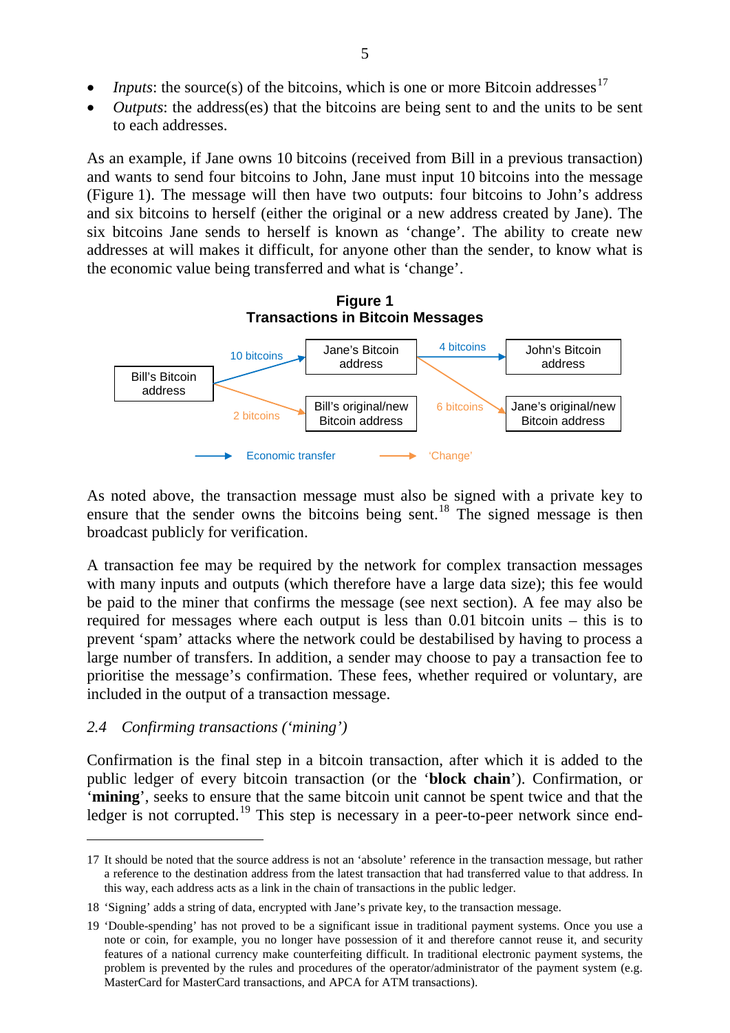- *Inputs*: the source(s) of the bitcoins, which is one or more Bitcoin addresses<sup>[17](#page-9-0)</sup>
- *Outputs*: the address(es) that the bitcoins are being sent to and the units to be sent to each addresses.

As an example, if Jane owns 10 bitcoins (received from Bill in a previous transaction) and wants to send four bitcoins to John, Jane must input 10 bitcoins into the message (Figure 1). The message will then have two outputs: four bitcoins to John's address and six bitcoins to herself (either the original or a new address created by Jane). The six bitcoins Jane sends to herself is known as 'change'. The ability to create new addresses at will makes it difficult, for anyone other than the sender, to know what is the economic value being transferred and what is 'change'.



As noted above, the transaction message must also be signed with a private key to ensure that the sender owns the bitcoins being sent.<sup>18</sup> The signed message is then broadcast publicly for verification.

A transaction fee may be required by the network for complex transaction messages with many inputs and outputs (which therefore have a large data size); this fee would be paid to the miner that confirms the message (see next section). A fee may also be required for messages where each output is less than 0.01 bitcoin units – this is to prevent 'spam' attacks where the network could be destabilised by having to process a large number of transfers. In addition, a sender may choose to pay a transaction fee to prioritise the message's confirmation. These fees, whether required or voluntary, are included in the output of a transaction message.

#### *2.4 Confirming transactions ('mining')*

Confirmation is the final step in a bitcoin transaction, after which it is added to the public ledger of every bitcoin transaction (or the '**block chain**'). Confirmation, or '**mining**', seeks to ensure that the same bitcoin unit cannot be spent twice and that the ledger is not corrupted.<sup>[19](#page-9-2)</sup> This step is necessary in a peer-to-peer network since end-

<span id="page-9-0"></span><sup>17</sup> It should be noted that the source address is not an 'absolute' reference in the transaction message, but rather a reference to the destination address from the latest transaction that had transferred value to that address. In this way, each address acts as a link in the chain of transactions in the public ledger.

<span id="page-9-1"></span><sup>18 &#</sup>x27;Signing' adds a string of data, encrypted with Jane's private key, to the transaction message.

<span id="page-9-2"></span><sup>19 &#</sup>x27;Double-spending' has not proved to be a significant issue in traditional payment systems. Once you use a note or coin, for example, you no longer have possession of it and therefore cannot reuse it, and security features of a national currency make counterfeiting difficult. In traditional electronic payment systems, the problem is prevented by the rules and procedures of the operator/administrator of the payment system (e.g. MasterCard for MasterCard transactions, and APCA for ATM transactions).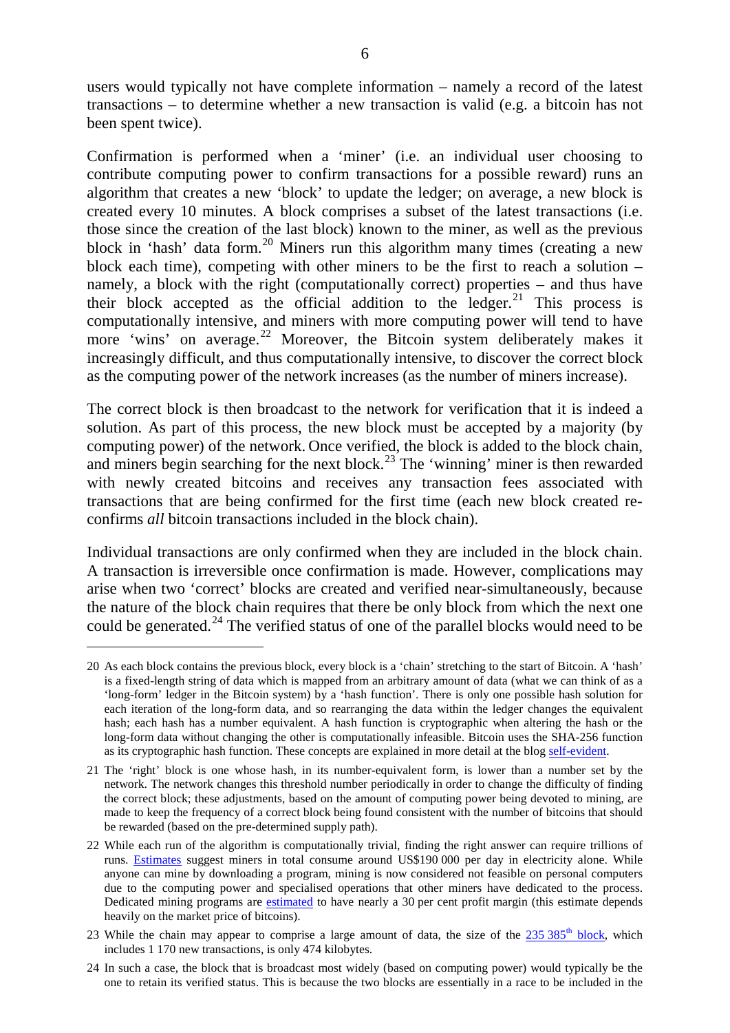users would typically not have complete information – namely a record of the latest transactions – to determine whether a new transaction is valid (e.g. a bitcoin has not been spent twice).

Confirmation is performed when a 'miner' (i.e. an individual user choosing to contribute computing power to confirm transactions for a possible reward) runs an algorithm that creates a new 'block' to update the ledger; on average, a new block is created every 10 minutes. A block comprises a subset of the latest transactions (i.e. those since the creation of the last block) known to the miner, as well as the previous block in 'hash' data form. [20](#page-10-0) Miners run this algorithm many times (creating a new block each time), competing with other miners to be the first to reach a solution – namely, a block with the right (computationally correct) properties – and thus have their block accepted as the official addition to the  $leq_{\text{edgeer}}^{21}$  $leq_{\text{edgeer}}^{21}$  $leq_{\text{edgeer}}^{21}$  This process is computationally intensive, and miners with more computing power will tend to have more 'wins' on average.<sup>[22](#page-10-2)</sup> Moreover, the Bitcoin system deliberately makes it increasingly difficult, and thus computationally intensive, to discover the correct block as the computing power of the network increases (as the number of miners increase).

The correct block is then broadcast to the network for verification that it is indeed a solution. As part of this process, the new block must be accepted by a majority (by computing power) of the network. Once verified, the block is added to the block chain, and miners begin searching for the next block.<sup>23</sup> The 'winning' miner is then rewarded with newly created bitcoins and receives any transaction fees associated with transactions that are being confirmed for the first time (each new block created reconfirms *all* bitcoin transactions included in the block chain).

Individual transactions are only confirmed when they are included in the block chain. A transaction is irreversible once confirmation is made. However, complications may arise when two 'correct' blocks are created and verified near-simultaneously, because the nature of the block chain requires that there be only block from which the next one could be generated.<sup>24</sup> The verified status of one of the parallel blocks would need to be

<span id="page-10-0"></span><sup>20</sup> As each block contains the previous block, every block is a 'chain' stretching to the start of Bitcoin. A 'hash' is a fixed-length string of data which is mapped from an arbitrary amount of data (what we can think of as a 'long-form' ledger in the Bitcoin system) by a 'hash function'. There is only one possible hash solution for each iteration of the long-form data, and so rearranging the data within the ledger changes the equivalent hash; each hash has a number equivalent. A hash function is cryptographic when altering the hash or the long-form data without changing the other is computationally infeasible. Bitcoin uses the SHA-256 function as its cryptographic hash function. These concepts are explained in more detail at the blog [self-evident.](https://self-evident.org/?p=974)

<span id="page-10-1"></span><sup>21</sup> The 'right' block is one whose hash, in its number-equivalent form, is lower than a number set by the network. The network changes this threshold number periodically in order to change the difficulty of finding the correct block; these adjustments, based on the amount of computing power being devoted to mining, are made to keep the frequency of a correct block being found consistent with the number of bitcoins that should be rewarded (based on the pre-determined supply path).

<span id="page-10-2"></span><sup>22</sup> While each run of the algorithm is computationally trivial, finding the right answer can require trillions of runs. [Estimates](http://blockchain.info/stats) suggest miners in total consume around US\$190 000 per day in electricity alone. While anyone can mine by downloading a program, mining is now considered not feasible on personal computers due to the computing power and specialised operations that other miners have dedicated to the process. Dedicated mining programs are [estimated](http://blockchain.info/stats) to have nearly a 30 per cent profit margin (this estimate depends heavily on the market price of bitcoins).

<span id="page-10-3"></span><sup>23</sup> While the chain may appear to comprise a large amount of data, the size of the  $235385<sup>th</sup>$  [block,](http://blockexplorer.com/block/0000000000000015474d868749b5c5bbe304adfabfb129d766043287327fbe51) which includes 1 170 new transactions, is only 474 kilobytes.

<span id="page-10-4"></span><sup>24</sup> In such a case, the block that is broadcast most widely (based on computing power) would typically be the one to retain its verified status. This is because the two blocks are essentially in a race to be included in the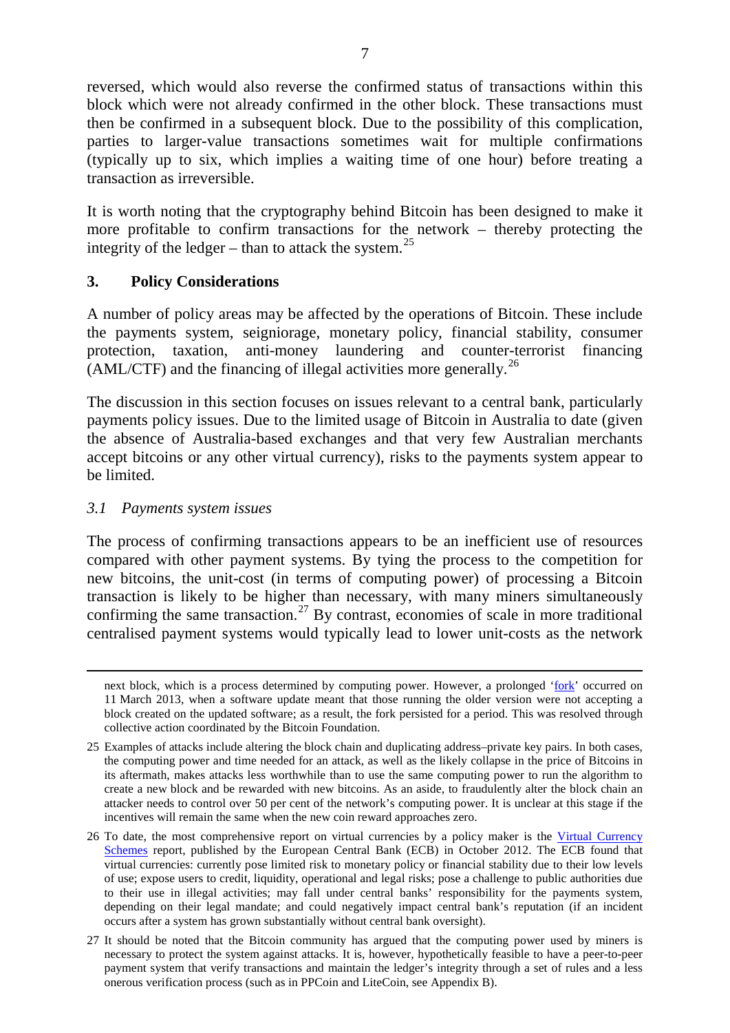reversed, which would also reverse the confirmed status of transactions within this block which were not already confirmed in the other block. These transactions must then be confirmed in a subsequent block. Due to the possibility of this complication, parties to larger-value transactions sometimes wait for multiple confirmations (typically up to six, which implies a waiting time of one hour) before treating a transaction as irreversible.

It is worth noting that the cryptography behind Bitcoin has been designed to make it more profitable to confirm transactions for the network – thereby protecting the integrity of the ledger – than to attack the system.<sup>[25](#page-11-0)</sup>

#### **3. Policy Considerations**

A number of policy areas may be affected by the operations of Bitcoin. These include the payments system, seigniorage, monetary policy, financial stability, consumer protection, taxation, anti-money laundering and counter-terrorist financing (AML/CTF) and the financing of illegal activities more generally.<sup>[26](#page-11-1)</sup>

The discussion in this section focuses on issues relevant to a central bank, particularly payments policy issues. Due to the limited usage of Bitcoin in Australia to date (given the absence of Australia-based exchanges and that very few Australian merchants accept bitcoins or any other virtual currency), risks to the payments system appear to be limited.

## *3.1 Payments system issues*

The process of confirming transactions appears to be an inefficient use of resources compared with other payment systems. By tying the process to the competition for new bitcoins, the unit-cost (in terms of computing power) of processing a Bitcoin transaction is likely to be higher than necessary, with many miners simultaneously confirming the same transaction.<sup>[27](#page-11-2)</sup> By contrast, economies of scale in more traditional centralised payment systems would typically lead to lower unit-costs as the network

next block, which is a process determined by computing power. However, a prolonged ['fork'](http://bitcoin.org/chainfork.html) occurred on 11 March 2013, when a software update meant that those running the older version were not accepting a block created on the updated software; as a result, the fork persisted for a period. This was resolved through collective action coordinated by the Bitcoin Foundation.

<span id="page-11-0"></span><sup>25</sup> Examples of attacks include altering the block chain and duplicating address–private key pairs. In both cases, the computing power and time needed for an attack, as well as the likely collapse in the price of Bitcoins in its aftermath, makes attacks less worthwhile than to use the same computing power to run the algorithm to create a new block and be rewarded with new bitcoins. As an aside, to fraudulently alter the block chain an attacker needs to control over 50 per cent of the network's computing power. It is unclear at this stage if the incentives will remain the same when the new coin reward approaches zero.

<span id="page-11-1"></span><sup>26</sup> To date, the most comprehensive report on virtual currencies by a policy maker is the Virtual Currency [Schemes](http://www.ecb.int/pub/pdf/other/virtualcurrencyschemes201210en.pdf) report, published by the European Central Bank (ECB) in October 2012. The ECB found that virtual currencies: currently pose limited risk to monetary policy or financial stability due to their low levels of use; expose users to credit, liquidity, operational and legal risks; pose a challenge to public authorities due to their use in illegal activities; may fall under central banks' responsibility for the payments system, depending on their legal mandate; and could negatively impact central bank's reputation (if an incident occurs after a system has grown substantially without central bank oversight).

<span id="page-11-2"></span><sup>27</sup> It should be noted that the Bitcoin community has argued that the computing power used by miners is necessary to protect the system against attacks. It is, however, hypothetically feasible to have a peer-to-peer payment system that verify transactions and maintain the ledger's integrity through a set of rules and a less onerous verification process (such as in PPCoin and LiteCoin, see Appendix B).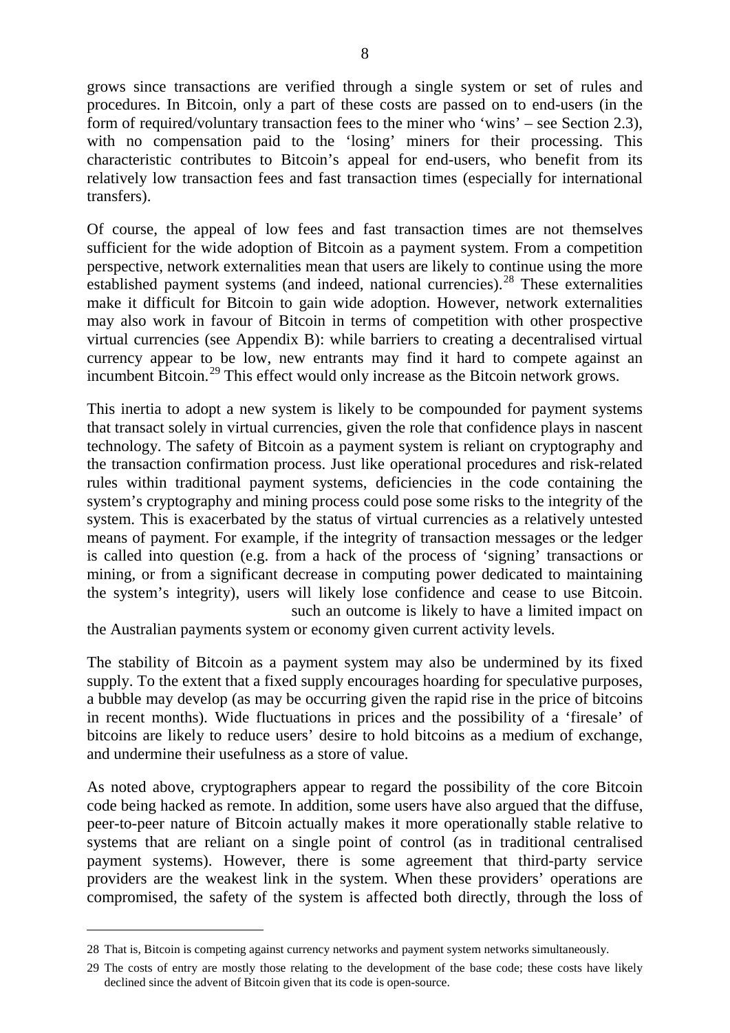grows since transactions are verified through a single system or set of rules and procedures. In Bitcoin, only a part of these costs are passed on to end-users (in the form of required/voluntary transaction fees to the miner who 'wins' – see Section 2.3), with no compensation paid to the 'losing' miners for their processing. This characteristic contributes to Bitcoin's appeal for end-users, who benefit from its relatively low transaction fees and fast transaction times (especially for international transfers).

Of course, the appeal of low fees and fast transaction times are not themselves sufficient for the wide adoption of Bitcoin as a payment system. From a competition perspective, network externalities mean that users are likely to continue using the more established payment systems (and indeed, national currencies).<sup>[28](#page-12-0)</sup> These externalities make it difficult for Bitcoin to gain wide adoption. However, network externalities may also work in favour of Bitcoin in terms of competition with other prospective virtual currencies (see Appendix B): while barriers to creating a decentralised virtual currency appear to be low, new entrants may find it hard to compete against an incumbent Bitcoin.[29](#page-12-1) This effect would only increase as the Bitcoin network grows.

This inertia to adopt a new system is likely to be compounded for payment systems that transact solely in virtual currencies, given the role that confidence plays in nascent technology. The safety of Bitcoin as a payment system is reliant on cryptography and the transaction confirmation process. Just like operational procedures and risk-related rules within traditional payment systems, deficiencies in the code containing the system's cryptography and mining process could pose some risks to the integrity of the system. This is exacerbated by the status of virtual currencies as a relatively untested means of payment. For example, if the integrity of transaction messages or the ledger is called into question (e.g. from a hack of the process of 'signing' transactions or mining, or from a significant decrease in computing power dedicated to maintaining the system's integrity), users will likely lose confidence and cease to use Bitcoin. such an outcome is likely to have a limited impact on

the Australian payments system or economy given current activity levels.

The stability of Bitcoin as a payment system may also be undermined by its fixed supply. To the extent that a fixed supply encourages hoarding for speculative purposes, a bubble may develop (as may be occurring given the rapid rise in the price of bitcoins in recent months). Wide fluctuations in prices and the possibility of a 'firesale' of bitcoins are likely to reduce users' desire to hold bitcoins as a medium of exchange, and undermine their usefulness as a store of value.

As noted above, cryptographers appear to regard the possibility of the core Bitcoin code being hacked as remote. In addition, some users have also argued that the diffuse, peer-to-peer nature of Bitcoin actually makes it more operationally stable relative to systems that are reliant on a single point of control (as in traditional centralised payment systems). However, there is some agreement that third-party service providers are the weakest link in the system. When these providers' operations are compromised, the safety of the system is affected both directly, through the loss of

<span id="page-12-0"></span><sup>28</sup> That is, Bitcoin is competing against currency networks and payment system networks simultaneously.

<span id="page-12-1"></span><sup>29</sup> The costs of entry are mostly those relating to the development of the base code; these costs have likely declined since the advent of Bitcoin given that its code is open-source.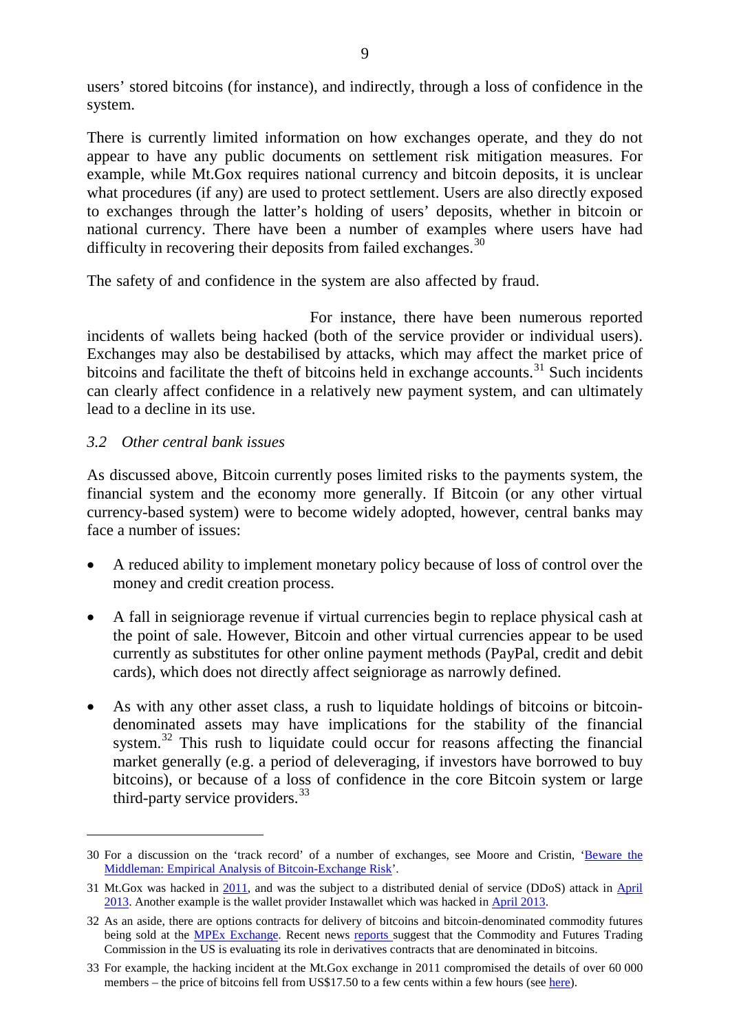users' stored bitcoins (for instance), and indirectly, through a loss of confidence in the system.

There is currently limited information on how exchanges operate, and they do not appear to have any public documents on settlement risk mitigation measures. For example, while Mt.Gox requires national currency and bitcoin deposits, it is unclear what procedures (if any) are used to protect settlement. Users are also directly exposed to exchanges through the latter's holding of users' deposits, whether in bitcoin or national currency. There have been a number of examples where users have had difficulty in recovering their deposits from failed exchanges.<sup>[30](#page-13-0)</sup>

The safety of and confidence in the system are also affected by fraud.

For instance, there have been numerous reported incidents of wallets being hacked (both of the service provider or individual users). Exchanges may also be destabilised by attacks, which may affect the market price of bitcoins and facilitate the theft of bitcoins held in exchange accounts. $31$  Such incidents can clearly affect confidence in a relatively new payment system, and can ultimately lead to a decline in its use.

#### *3.2 Other central bank issues*

As discussed above, Bitcoin currently poses limited risks to the payments system, the financial system and the economy more generally. If Bitcoin (or any other virtual currency-based system) were to become widely adopted, however, central banks may face a number of issues:

- A reduced ability to implement monetary policy because of loss of control over the money and credit creation process.
- A fall in seigniorage revenue if virtual currencies begin to replace physical cash at the point of sale. However, Bitcoin and other virtual currencies appear to be used currently as substitutes for other online payment methods (PayPal, credit and debit cards), which does not directly affect seigniorage as narrowly defined.
- As with any other asset class, a rush to liquidate holdings of bitcoins or bitcoindenominated assets may have implications for the stability of the financial system.<sup>[32](#page-13-2)</sup> This rush to liquidate could occur for reasons affecting the financial market generally (e.g. a period of deleveraging, if investors have borrowed to buy bitcoins), or because of a loss of confidence in the core Bitcoin system or large third-party service providers.  $33$

<span id="page-13-0"></span><sup>30</sup> For a discussion on the 'track record' of a number of exchanges, see Moore and Cristin, ['Beware the](http://lyle.smu.edu/%7Etylerm/fc13.pdf)  [Middleman: Empirical Analysis of Bitcoin-Exchange Risk'](http://lyle.smu.edu/%7Etylerm/fc13.pdf).

<span id="page-13-1"></span><sup>31</sup> Mt.Gox was hacked in [2011,](http://ftalphaville.ft.com/2011/06/21/600441/george-clooney-roils-the-bitcoin-market/) and was the subject to a distributed denial of service (DDoS) attack in [April](https://mtgox.com/press_release_20130404.html)  [2013.](https://mtgox.com/press_release_20130404.html) Another example is the wallet provider Instawallet which was hacked in [April 2013.](http://www.huffingtonpost.com/2013/04/11/hackers-bitcoin_n_3052648.html)

<span id="page-13-2"></span><sup>32</sup> As an aside, there are options contracts for delivery of bitcoins and bitcoin-denominated commodity futures being sold at the [MPEx Exchange.](http://mpex.co/) Recent news [reports](http://www.ft.com/intl/cms/s/0/b810157c-b651-11e2-93ba-00144feabdc0.html%23axzz2SYi1eXGr) suggest that the Commodity and Futures Trading Commission in the US is evaluating its role in derivatives contracts that are denominated in bitcoins.

<span id="page-13-3"></span><sup>33</sup> For example, the hacking incident at the Mt.Gox exchange in 2011 compromised the details of over 60 000 members – the price of bitcoins fell from US\$17.50 to a few cents within a few hours (see [here\)](http://ftalphaville.ft.com/2011/06/21/600441/george-clooney-roils-the-bitcoin-market/).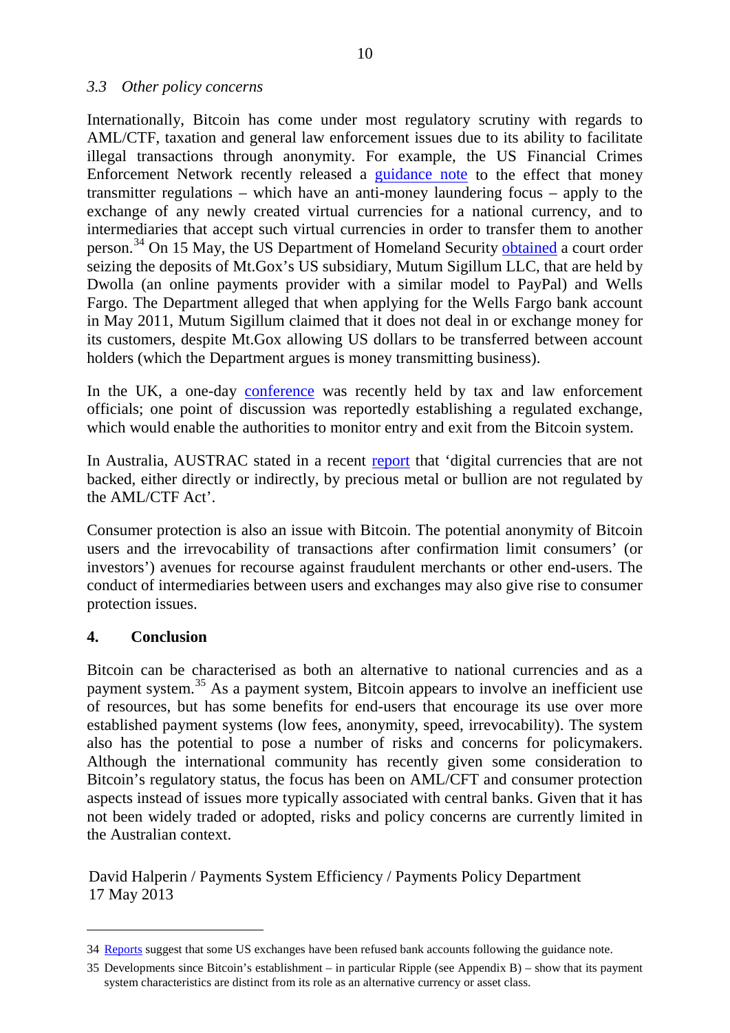#### *3.3 Other policy concerns*

Internationally, Bitcoin has come under most regulatory scrutiny with regards to AML/CTF, taxation and general law enforcement issues due to its ability to facilitate illegal transactions through anonymity. For example, the US Financial Crimes Enforcement Network recently released a [guidance note](http://fincen.gov/statutes_regs/guidance/html/FIN-2013-G001.html) to the effect that money transmitter regulations – which have an anti-money laundering focus – apply to the exchange of any newly created virtual currencies for a national currency, and to intermediaries that accept such virtual currencies in order to transfer them to another person.<sup>[34](#page-14-0)</sup> On 15 May, the US Department of Homeland Security [obtained](http://www.ft.com/intl/cms/s/0/9ecefa7c-bda6-11e2-890a-00144feab7de.html%23axzz2TKt2MgdE) a court order seizing the deposits of Mt.Gox's US subsidiary, Mutum Sigillum LLC, that are held by Dwolla (an online payments provider with a similar model to PayPal) and Wells Fargo. The Department alleged that when applying for the Wells Fargo bank account in May 2011, Mutum Sigillum claimed that it does not deal in or exchange money for its customers, despite Mt.Gox allowing US dollars to be transferred between account holders (which the Department argues is money transmitting business).

In the UK, a one-day [conference](http://www.ft.com/intl/cms/s/2/42ca6762-bbfc-11e2-82df-00144feab7de.html%23axzz2THG6OqRP) was recently held by tax and law enforcement officials; one point of discussion was reportedly establishing a regulated exchange, which would enable the authorities to monitor entry and exit from the Bitcoin system.

In Australia, AUSTRAC stated in a recent [report](http://www.austrac.gov.au/files/typ_rprt12_full.pdf) that 'digital currencies that are not backed, either directly or indirectly, by precious metal or bullion are not regulated by the AML/CTF Act'.

Consumer protection is also an issue with Bitcoin. The potential anonymity of Bitcoin users and the irrevocability of transactions after confirmation limit consumers' (or investors') avenues for recourse against fraudulent merchants or other end-users. The conduct of intermediaries between users and exchanges may also give rise to consumer protection issues.

#### **4. Conclusion**

Bitcoin can be characterised as both an alternative to national currencies and as a payment system.[35](#page-14-1) As a payment system, Bitcoin appears to involve an inefficient use of resources, but has some benefits for end-users that encourage its use over more established payment systems (low fees, anonymity, speed, irrevocability). The system also has the potential to pose a number of risks and concerns for policymakers. Although the international community has recently given some consideration to Bitcoin's regulatory status, the focus has been on AML/CFT and consumer protection aspects instead of issues more typically associated with central banks. Given that it has not been widely traded or adopted, risks and policy concerns are currently limited in the Australian context.

David Halperin / Payments System Efficiency / Payments Policy Department 17 May 2013

<span id="page-14-0"></span><sup>34</sup> [Reports](http://www.ft.com/intl/cms/s/2/42ca6762-bbfc-11e2-82df-00144feab7de.html%23axzz2THG6OqRP) suggest that some US exchanges have been refused bank accounts following the guidance note.

<span id="page-14-1"></span><sup>35</sup> Developments since Bitcoin's establishment – in particular Ripple (see Appendix B) – show that its payment system characteristics are distinct from its role as an alternative currency or asset class.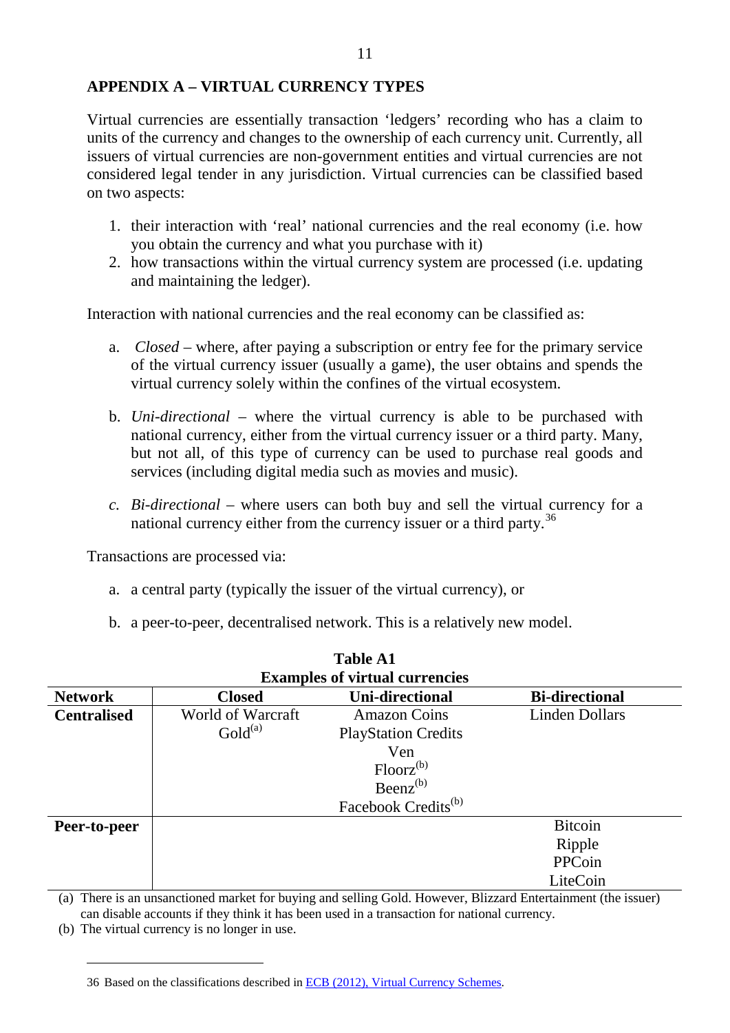Virtual currencies are essentially transaction 'ledgers' recording who has a claim to units of the currency and changes to the ownership of each currency unit. Currently, all issuers of virtual currencies are non-government entities and virtual currencies are not considered legal tender in any jurisdiction. Virtual currencies can be classified based on two aspects:

- 1. their interaction with 'real' national currencies and the real economy (i.e. how you obtain the currency and what you purchase with it)
- 2. how transactions within the virtual currency system are processed (i.e. updating and maintaining the ledger).

Interaction with national currencies and the real economy can be classified as:

- a. *Closed* where, after paying a subscription or entry fee for the primary service of the virtual currency issuer (usually a game), the user obtains and spends the virtual currency solely within the confines of the virtual ecosystem.
- b. *Uni-directional* where the virtual currency is able to be purchased with national currency, either from the virtual currency issuer or a third party. Many, but not all, of this type of currency can be used to purchase real goods and services (including digital media such as movies and music).
- *c. Bi-directional*  where users can both buy and sell the virtual currency for a national currency either from the currency issuer or a third party.<sup>[36](#page-15-0)</sup>

Transactions are processed via:

- a. a central party (typically the issuer of the virtual currency), or
- b. a peer-to-peer, decentralised network. This is a relatively new model.

| <b>Table A1</b><br><b>Examples of virtual currencies</b> |                     |                                 |                       |
|----------------------------------------------------------|---------------------|---------------------------------|-----------------------|
|                                                          |                     |                                 |                       |
| <b>Centralised</b>                                       | World of Warcraft   | <b>Amazon Coins</b>             | <b>Linden Dollars</b> |
|                                                          | Gold <sup>(a)</sup> | <b>PlayStation Credits</b>      |                       |
|                                                          |                     | Ven                             |                       |
|                                                          |                     | $Floor^{(b)}$                   |                       |
|                                                          |                     | $\text{B}$ eenz <sup>(b)</sup>  |                       |
|                                                          |                     | Facebook Credits <sup>(b)</sup> |                       |
| Peer-to-peer                                             |                     |                                 | <b>Bitcoin</b>        |
|                                                          |                     |                                 | Ripple                |
|                                                          |                     |                                 | PPCoin                |
|                                                          |                     |                                 | LiteCoin              |

(a) There is an unsanctioned market for buying and selling Gold. However, Blizzard Entertainment (the issuer) can disable accounts if they think it has been used in a transaction for national currency.

<span id="page-15-0"></span>(b) The virtual currency is no longer in use.

<sup>36</sup> Based on the classifications described i[n ECB \(2012\), Virtual Currency Schemes.](http://www.ecb.int/pub/pdf/other/virtualcurrencyschemes201210en.pdf)